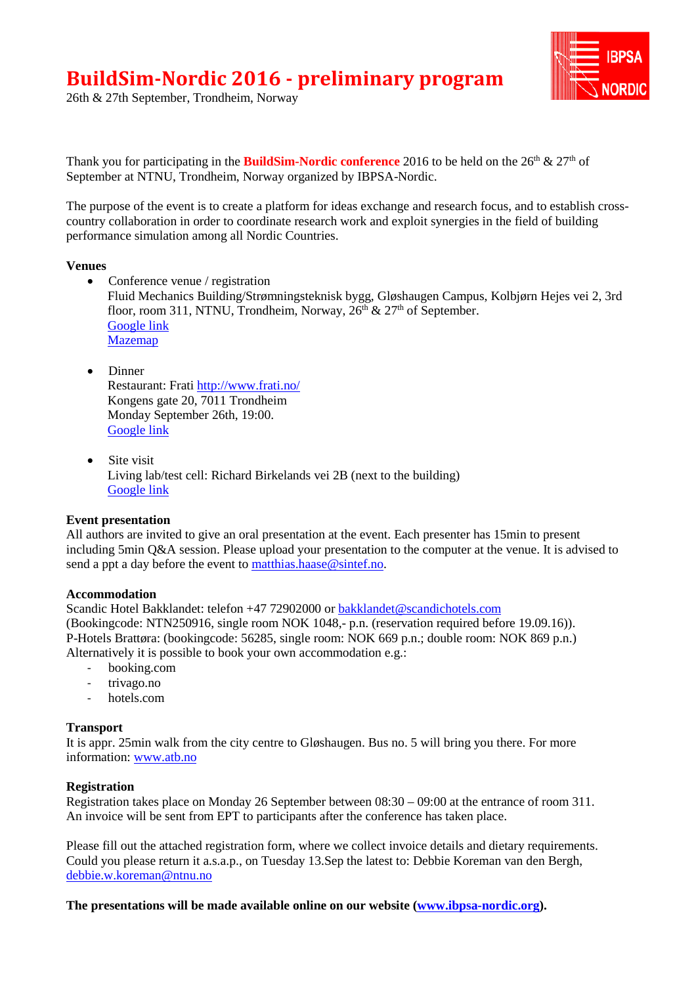

26th & 27th September, Trondheim, Norway

Thank you for participating in the **BuildSim-Nordic conference** 2016 to be held on the 26<sup>th</sup> & 27<sup>th</sup> of September at NTNU, Trondheim, Norway organized by IBPSA-Nordic.

The purpose of the event is to create a platform for ideas exchange and research focus, and to establish crosscountry collaboration in order to coordinate research work and exploit synergies in the field of building performance simulation among all Nordic Countries.

### **Venues**

- Conference venue / registration Fluid Mechanics Building/Strømningsteknisk bygg, Gløshaugen Campus, Kolbjørn Hejes vei 2, 3rd floor, room 311, NTNU, Trondheim, Norway,  $26<sup>th</sup>$  &  $27<sup>th</sup>$  of September. [Google](https://www.google.com/maps/place/Kolbj%C3%B8rn+Hejes+vei+2,+7034+Trondheim,+Norway/@63.4184747,10.4028718,17z/data=!3m1!4b1!4m5!3m4!1s0x466d319585c22e39:0x563a6049ebbc9459!8m2!3d63.4184723!4d10.4050605) link [Mazemap](http://bit.ly/2cf8xNe)
- Dinner Restaurant: Frati <http://www.frati.no/> Kongens gate 20, 7011 Trondheim Monday September 26th, 19:00. [Google link](https://www.google.com/maps/place/Frati+restaurant/@63.4307823,10.3915537,17z/data=!3m1!4b1!4m5!3m4!1s0x466d319b6d03a4d9:0x7f00e8dd6ee4efc!8m2!3d63.4307799!4d10.3937424)
- Site visit Living lab/test cell: Richard Birkelands vei 2B (next to the building) [Google link](https://www.google.com/maps/place/Richard+Birkelands+vei+2B,+7034+Trondheim,+Norway/@63.4164199,10.4075234,17z/data=!4m5!3m4!1s0x466d31bfa727b227:0x5055e365df95f7a0!8m2!3d63.4164079!4d10.4099267)

## **Event presentation**

All authors are invited to give an oral presentation at the event. Each presenter has 15min to present including 5min Q&A session. Please upload your presentation to the computer at the venue. It is advised to send a ppt a day before the event to [matthias.haase@sintef.no.](mailto:matthias.haase@sintef.no)

## **Accommodation**

Scandic Hotel Bakklandet: telefon +47 72902000 or [bakklandet@scandichotels.com](mailto:bakklandet@scandichotels.com) (Bookingcode: NTN250916, single room NOK 1048,- p.n. (reservation required before 19.09.16)). P-Hotels Brattøra: (bookingcode: 56285, single room: NOK 669 p.n.; double room: NOK 869 p.n.) Alternatively it is possible to book your own accommodation e.g.:

- booking.com
- trivago.no
- hotels.com

## **Transport**

It is appr. 25min walk from the city centre to Gløshaugen. Bus no. 5 will bring you there. For more information: [www.atb.no](http://www.atb.no/)

## **Registration**

Registration takes place on Monday 26 September between 08:30 – 09:00 at the entrance of room 311. An invoice will be sent from EPT to participants after the conference has taken place.

Please fill out the attached registration form, where we collect invoice details and dietary requirements. Could you please return it a.s.a.p., on Tuesday 13.Sep the latest to: Debbie Koreman van den Bergh, [debbie.w.koreman@ntnu.no](mailto:debbie.w.koreman@ntnu.no)

**The presentations will be made available online on our website [\(www.ibpsa-nordic.org\)](http://www.ibpsa-nordic.org/).**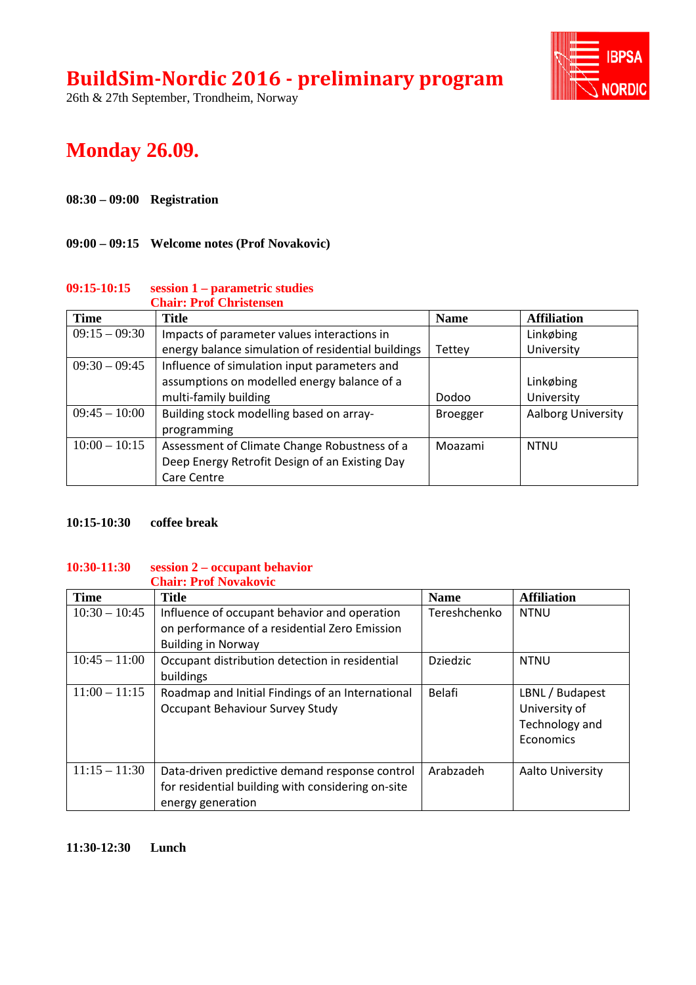26th & 27th September, Trondheim, Norway



## **Monday 26.09.**

## **08:30 – 09:00 Registration**

### **09:00 – 09:15 Welcome notes (Prof Novakovic)**

#### **09:15-10:15 session 1 – parametric studies Chair: Prof Christensen**

| <b>Time</b>     | енан . ттот енгвилюся<br><b>Title</b>              | <b>Name</b>     | <b>Affiliation</b> |
|-----------------|----------------------------------------------------|-----------------|--------------------|
| $09:15 - 09:30$ | Impacts of parameter values interactions in        |                 | Linkøbing          |
|                 | energy balance simulation of residential buildings | Tettey          | University         |
| $09:30 - 09:45$ | Influence of simulation input parameters and       |                 |                    |
|                 | assumptions on modelled energy balance of a        |                 | Linkøbing          |
|                 | multi-family building                              | Dodoo           | University         |
| $09:45 - 10:00$ | Building stock modelling based on array-           | <b>Broegger</b> | Aalborg University |
|                 | programming                                        |                 |                    |
| $10:00 - 10:15$ | Assessment of Climate Change Robustness of a       | Moazami         | <b>NTNU</b>        |
|                 | Deep Energy Retrofit Design of an Existing Day     |                 |                    |
|                 | Care Centre                                        |                 |                    |

### **10:15-10:30 coffee break**

#### **10:30-11:30 session 2 – occupant behavior Chair: Prof Novakovic**

| <b>Time</b>     | <b>Title</b>                                      | <b>Name</b>     | <b>Affiliation</b>      |
|-----------------|---------------------------------------------------|-----------------|-------------------------|
| $10:30 - 10:45$ | Influence of occupant behavior and operation      | Tereshchenko    | <b>NTNU</b>             |
|                 | on performance of a residential Zero Emission     |                 |                         |
|                 | <b>Building in Norway</b>                         |                 |                         |
| $10:45 - 11:00$ | Occupant distribution detection in residential    | <b>Dziedzic</b> | <b>NTNU</b>             |
|                 | buildings                                         |                 |                         |
| $11:00 - 11:15$ | Roadmap and Initial Findings of an International  | Belafi          | LBNL / Budapest         |
|                 | Occupant Behaviour Survey Study                   |                 | University of           |
|                 |                                                   |                 | Technology and          |
|                 |                                                   |                 | Economics               |
|                 |                                                   |                 |                         |
| $11:15 - 11:30$ | Data-driven predictive demand response control    | Arabzadeh       | <b>Aalto University</b> |
|                 | for residential building with considering on-site |                 |                         |
|                 | energy generation                                 |                 |                         |

### **11:30-12:30 Lunch**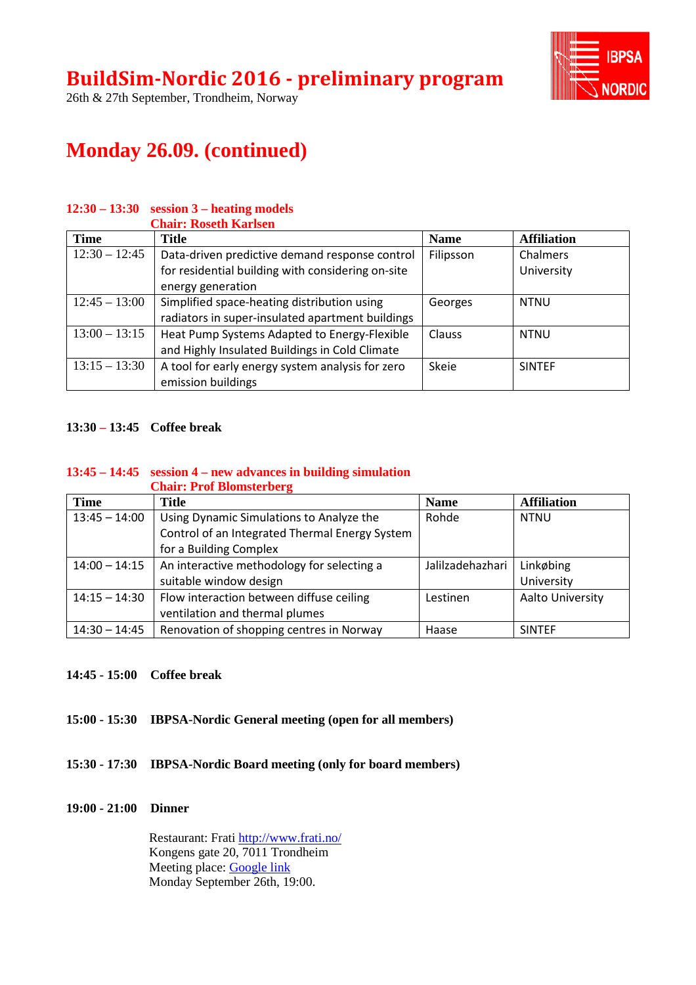

26th & 27th September, Trondheim, Norway

# **Monday 26.09. (continued)**

## **12:30 – 13:30 session 3 – heating models**

|                 | <b>Chair: Roseth Karlsen</b>                      |             |                    |
|-----------------|---------------------------------------------------|-------------|--------------------|
| <b>Time</b>     | Title                                             | <b>Name</b> | <b>Affiliation</b> |
| $12:30 - 12:45$ | Data-driven predictive demand response control    | Filipsson   | Chalmers           |
|                 | for residential building with considering on-site |             | University         |
|                 | energy generation                                 |             |                    |
| $12:45 - 13:00$ | Simplified space-heating distribution using       | Georges     | <b>NTNU</b>        |
|                 | radiators in super-insulated apartment buildings  |             |                    |
| $13:00 - 13:15$ | Heat Pump Systems Adapted to Energy-Flexible      | Clauss      | <b>NTNU</b>        |
|                 | and Highly Insulated Buildings in Cold Climate    |             |                    |
| $13:15 - 13:30$ | A tool for early energy system analysis for zero  | Skeie       | <b>SINTEF</b>      |
|                 | emission buildings                                |             |                    |

### **13:30 – 13:45 Coffee break**

#### **13:45 – 14:45 session 4 – new advances in building simulation Chair: Prof Blomsterberg**

| <b>Time</b>     | <b>Title</b>                                   | <b>Name</b>      | <b>Affiliation</b> |
|-----------------|------------------------------------------------|------------------|--------------------|
| $13:45 - 14:00$ | Using Dynamic Simulations to Analyze the       | Rohde            | <b>NTNU</b>        |
|                 | Control of an Integrated Thermal Energy System |                  |                    |
|                 | for a Building Complex                         |                  |                    |
| $14:00 - 14:15$ | An interactive methodology for selecting a     | Jalilzadehazhari | Linkøbing          |
|                 | suitable window design                         |                  | University         |
| $14:15 - 14:30$ | Flow interaction between diffuse ceiling       | Lestinen         | Aalto University   |
|                 | ventilation and thermal plumes                 |                  |                    |
| $14:30 - 14:45$ | Renovation of shopping centres in Norway       | Haase            | <b>SINTEF</b>      |

## **14:45 - 15:00 Coffee break**

## **15:00 - 15:30 IBPSA-Nordic General meeting (open for all members)**

## **15:30 - 17:30 IBPSA-Nordic Board meeting (only for board members)**

### **19:00 - 21:00 Dinner**

Restaurant: Frati <http://www.frati.no/> Kongens gate 20, 7011 Trondheim Meeting place: [Google link](https://www.google.com/maps/place/Frati+restaurant/@63.4307823,10.3915537,17z/data=!3m1!4b1!4m5!3m4!1s0x466d319b6d03a4d9:0x7f00e8dd6ee4efc!8m2!3d63.4307799!4d10.3937424) Monday September 26th, 19:00.